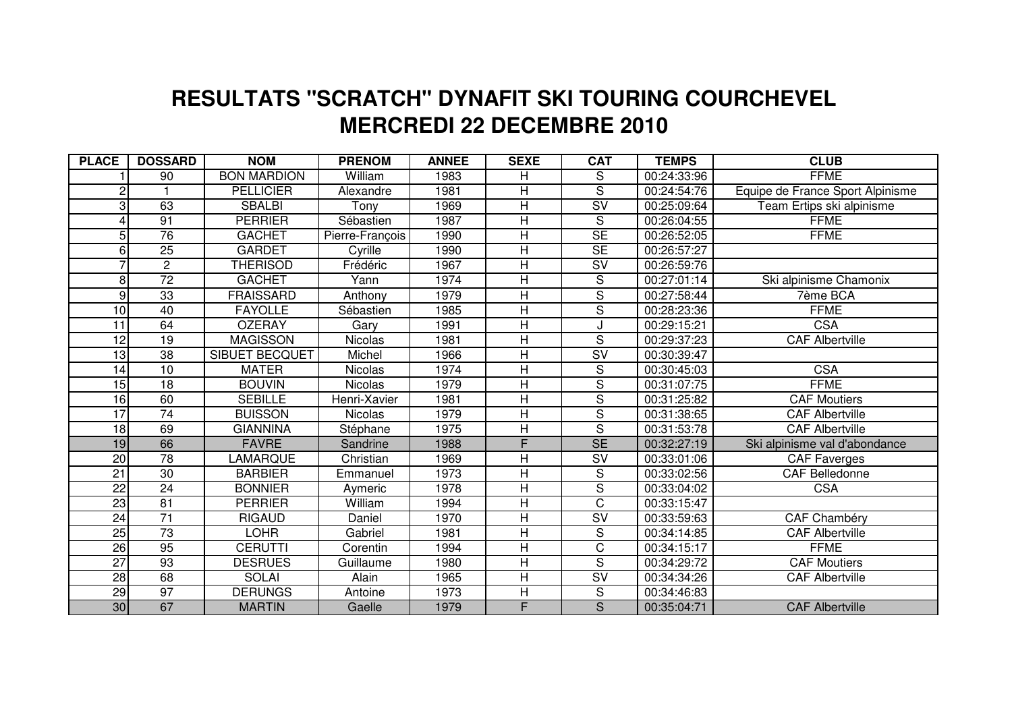## **MERCREDI 22 DECEMBRE 2010 RESULTATS "SCRATCH" DYNAFIT SKI TOURING COURCHEVEL**

| <b>PLACE</b>    | <b>DOSSARD</b>  | <b>NOM</b>            | <b>PRENOM</b>   | <b>ANNEE</b> | <b>SEXE</b>             | <b>CAT</b>               | <b>TEMPS</b>              | <b>CLUB</b>                      |
|-----------------|-----------------|-----------------------|-----------------|--------------|-------------------------|--------------------------|---------------------------|----------------------------------|
|                 | 90              | <b>BON MARDION</b>    | William         | 1983         | H                       | S                        | 00:24:33:96               | <b>FFME</b>                      |
| 2               |                 | <b>PELLICIER</b>      | Alexandre       | 1981         | H                       | S                        | 00:24:54:76               | Equipe de France Sport Alpinisme |
| 3               | 63              | <b>SBALBI</b>         | Tonv            | 1969         | Η                       | $\overline{\mathsf{sv}}$ | 00:25:09:64               | Team Ertips ski alpinisme        |
| 4               | 91              | <b>PERRIER</b>        | Sébastien       | 1987         | H                       | $\overline{S}$           | 00:26:04:55               | <b>FFME</b>                      |
| 5 <sup>1</sup>  | $\overline{76}$ | <b>GACHET</b>         | Pierre-François | 1990         | Η                       | $\overline{\text{SE}}$   | $\overline{00}$ :26:52:05 | <b>FFME</b>                      |
| $6 \mid$        | $\overline{25}$ | <b>GARDET</b>         | Cyrille         | 1990         | H                       | SE                       | $\overline{00}$ :26:57:27 |                                  |
|                 | $\overline{2}$  | <b>THERISOD</b>       | Frédéric        | 1967         | $\overline{\mathsf{H}}$ | $\overline{\text{SV}}$   | 00:26:59:76               |                                  |
| 8 <sup>1</sup>  | $\overline{72}$ | <b>GACHET</b>         | Yann            | 1974         | Η                       | S                        | 00:27:01:14               | Ski alpinisme Chamonix           |
| $\overline{9}$  | 33              | <b>FRAISSARD</b>      | Anthony         | 1979         | $\overline{\mathsf{H}}$ | $\overline{\mathsf{s}}$  | 00:27:58:44               | 7ème BCA                         |
| 10              | 40              | <b>FAYOLLE</b>        | Sébastien       | 1985         | Н                       | S                        | 00:28:23:36               | <b>FFME</b>                      |
| $\overline{11}$ | 64              | <b>OZERAY</b>         | Gary            | 1991         | $\overline{\mathsf{H}}$ |                          | 00:29:15:21               | <b>CSA</b>                       |
| 12              | 19              | <b>MAGISSON</b>       | <b>Nicolas</b>  | 1981         | H                       | $\overline{S}$           | 00:29:37:23               | <b>CAF Albertville</b>           |
| 13              | 38              | <b>SIBUET BECQUET</b> | Michel          | 1966         | Η                       | $\overline{\text{SV}}$   | 00:30:39:47               |                                  |
| 14              | 10              | <b>MATER</b>          | <b>Nicolas</b>  | 1974         | Η                       | S                        | 00:30:45:03               | <b>CSA</b>                       |
| 15              | 18              | <b>BOUVIN</b>         | Nicolas         | 1979         | H                       | $\overline{S}$           | 00:31:07:75               | <b>FFME</b>                      |
| 16              | 60              | <b>SEBILLE</b>        | Henri-Xavier    | 1981         | Η                       | $\overline{\mathsf{s}}$  | 00:31:25:82               | <b>CAF Moutiers</b>              |
| $\overline{17}$ | 74              | <b>BUISSON</b>        | <b>Nicolas</b>  | 1979         | H                       | $\overline{\mathsf{s}}$  | 00:31:38:65               | <b>CAF Albertville</b>           |
| 18              | 69              | <b>GIANNINA</b>       | Stéphane        | 1975         | Н                       | ड                        | 00:31:53:78               | <b>CAF Albertville</b>           |
| 19              | 66              | <b>FAVRE</b>          | Sandrine        | 1988         | F                       | $\overline{\text{SE}}$   | 00:32:27:19               | Ski alpinisme val d'abondance    |
| 20              | 78              | <b>AMARQUE</b>        | Christian       | 1969         | H                       | SV                       | 00:33:01:06               | <b>CAF Faverges</b>              |
| $\overline{21}$ | 30              | <b>BARBIER</b>        | Emmanuel        | 1973         | $\overline{\mathsf{H}}$ | S                        | 00:33:02:56               | <b>CAF Belledonne</b>            |
| $\overline{22}$ | $\overline{24}$ | <b>BONNIER</b>        | Aymeric         | 1978         | $\overline{\mathsf{H}}$ | $\overline{\mathsf{s}}$  | 00:33:04:02               | <b>CSA</b>                       |
| 23              | $\overline{81}$ | <b>PERRIER</b>        | William         | 1994         | Н                       | C                        | 00:33:15:47               |                                  |
| 24              | $\overline{71}$ | <b>RIGAUD</b>         | Daniel          | 1970         | $\overline{\mathsf{H}}$ | $\overline{\mathsf{sv}}$ | 00:33:59:63               | <b>CAF Chambéry</b>              |
| 25              | $\overline{73}$ | LOHR                  | Gabriel         | 1981         | Н                       | S                        | 00:34:14:85               | <b>CAF Albertville</b>           |
| 26              | 95              | <b>CERUTTI</b>        | Corentin        | 1994         | $\overline{\mathsf{H}}$ | $\overline{C}$           | 00:34:15:17               | <b>FFME</b>                      |
| $\overline{27}$ | 93              | <b>DESRUES</b>        | Guillaume       | 1980         | H                       | $\overline{S}$           | 00:34:29:72               | <b>CAF</b> Moutiers              |
| 28              | 68              | <b>SOLAI</b>          | Alain           | 1965         | Η                       | $\overline{\mathsf{SV}}$ | 00:34:34:26               | <b>CAF Albertville</b>           |
| 29              | $\overline{97}$ | <b>DERUNGS</b>        | Antoine         | 1973         | Η                       | $\overline{S}$           | 00:34:46:83               |                                  |
| 30 <sub>o</sub> | 67              | <b>MARTIN</b>         | Gaelle          | 1979         | F                       | $\overline{S}$           | 00:35:04:71               | <b>CAF Albertville</b>           |